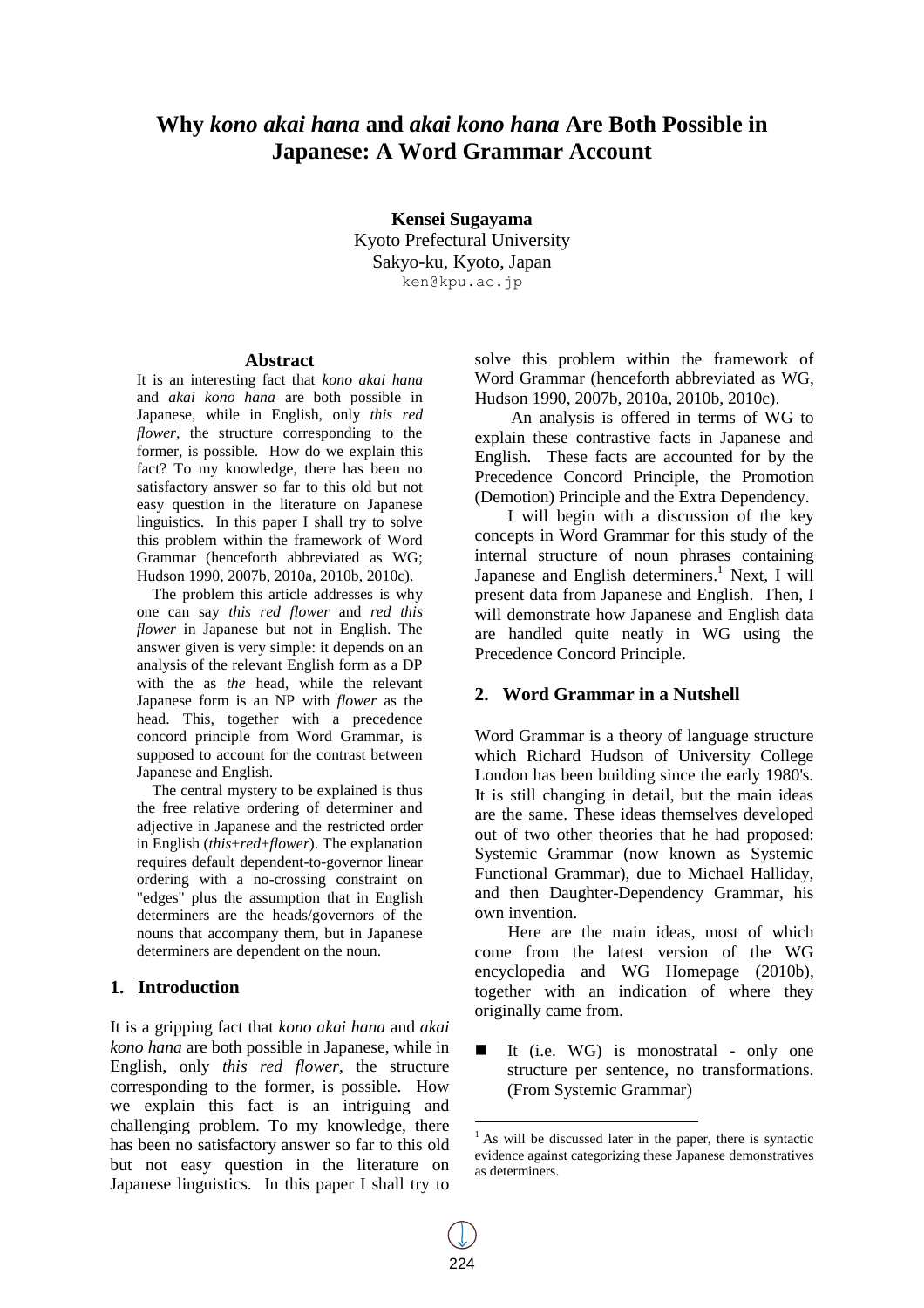# **Why** *kono akai hana* **and** *akai kono hana* **Are Both Possible in Japanese: A Word Grammar Account**

**Kensei Sugayama** Kyoto Prefectural University Sakyo-ku, Kyoto, Japan ken@kpu.ac.jp

#### **Abstract**

It is an interesting fact that *kono akai hana* and *akai kono hana* are both possible in Japanese, while in English, only *this red flower*, the structure corresponding to the former, is possible. How do we explain this fact? To my knowledge, there has been no satisfactory answer so far to this old but not easy question in the literature on Japanese linguistics. In this paper I shall try to solve this problem within the framework of Word Grammar (henceforth abbreviated as WG; Hudson 1990, 2007b, 2010a, 2010b, 2010c).

The problem this article addresses is why one can say *this red flower* and *red this flower* in Japanese but not in English. The answer given is very simple: it depends on an analysis of the relevant English form as a DP with the as *the* head, while the relevant Japanese form is an NP with *flower* as the head. This, together with a precedence concord principle from Word Grammar, is supposed to account for the contrast between Japanese and English.

The central mystery to be explained is thus the free relative ordering of determiner and adjective in Japanese and the restricted order in English (*this*+*red*+*flower*). The explanation requires default dependent-to-governor linear ordering with a no-crossing constraint on "edges" plus the assumption that in English determiners are the heads/governors of the nouns that accompany them, but in Japanese determiners are dependent on the noun.

#### **1. Introduction**

It is a gripping fact that *kono akai hana* and *akai kono hana* are both possible in Japanese, while in English, only *this red flower*, the structure corresponding to the former, is possible. How we explain this fact is an intriguing and challenging problem. To my knowledge, there has been no satisfactory answer so far to this old but not easy question in the literature on Japanese linguistics. In this paper I shall try to

solve this problem within the framework of Word Grammar (henceforth abbreviated as WG, Hudson 1990, 2007b, 2010a, 2010b, 2010c).

An analysis is offered in terms of WG to explain these contrastive facts in Japanese and English. These facts are accounted for by the Precedence Concord Principle, the Promotion (Demotion) Principle and the Extra Dependency.

I will begin with a discussion of the key concepts in Word Grammar for this study of the internal structure of noun phrases containing Japanese and English determiners.<sup>1</sup> Next, I will present data from Japanese and English. Then, I will demonstrate how Japanese and English data are handled quite neatly in WG using the Precedence Concord Principle.

## **2. Word Grammar in a Nutshell**

Word Grammar is a theory of language structure which Richard Hudson of University College London has been building since the early 1980's. It is still changing in detail, but the main ideas are the same. These ideas themselves developed out of two other theories that he had proposed: Systemic Grammar (now known as Systemic Functional Grammar), due to Michael Halliday, and then Daughter-Dependency Grammar, his own invention.

Here are the main ideas, most of which come from the latest version of the WG encyclopedia and WG Homepage (2010b), together with an indication of where they originally came from.

 It (i.e. WG) is monostratal - only one structure per sentence, no transformations. (From Systemic Grammar)

 $\overline{a}$ 

 $<sup>1</sup>$  As will be discussed later in the paper, there is syntactic</sup> evidence against categorizing these Japanese demonstratives as determiners.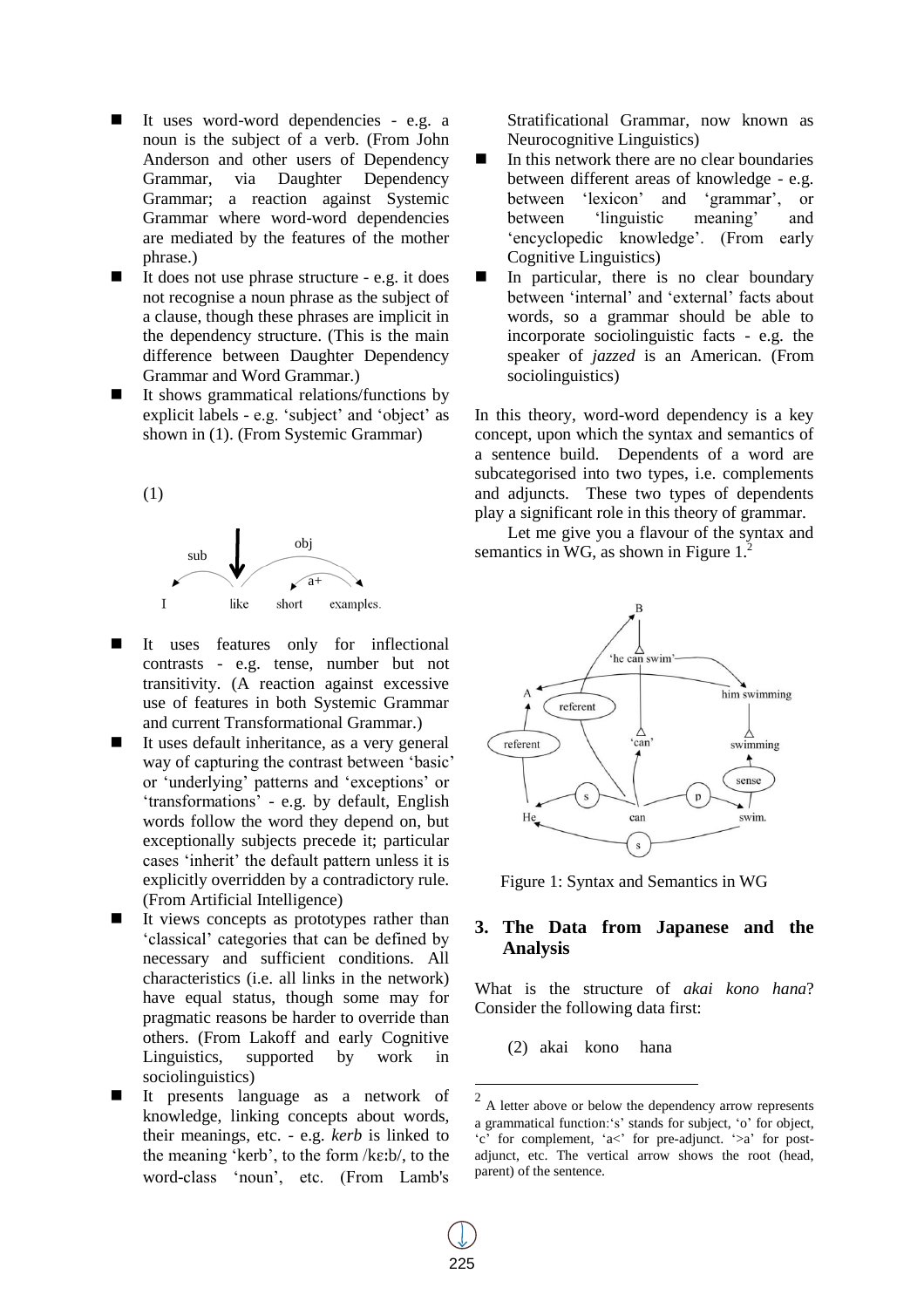- It uses word-word dependencies e.g. a noun is the subject of a verb. (From John Anderson and other users of Dependency Grammar, via Daughter Dependency Grammar; a reaction against Systemic Grammar where word-word dependencies are mediated by the features of the mother phrase.)
- It does not use phrase structure e.g. it does not recognise a noun phrase as the subject of a clause, though these phrases are implicit in the dependency structure. (This is the main difference between Daughter Dependency Grammar and Word Grammar.)
- It shows grammatical relations/functions by explicit labels - e.g. 'subject' and 'object' as shown in (1). (From Systemic Grammar)

(1)



- It uses features only for inflectional contrasts - e.g. tense, number but not transitivity. (A reaction against excessive use of features in both Systemic Grammar and current Transformational Grammar.)
- $\blacksquare$  It uses default inheritance, as a very general way of capturing the contrast between 'basic' or 'underlying' patterns and 'exceptions' or 'transformations' - e.g. by default, English words follow the word they depend on, but exceptionally subjects precede it; particular cases 'inherit' the default pattern unless it is explicitly overridden by a contradictory rule. (From Artificial Intelligence)
- It views concepts as prototypes rather than 'classical' categories that can be defined by necessary and sufficient conditions. All characteristics (i.e. all links in the network) have equal status, though some may for pragmatic reasons be harder to override than others. (From Lakoff and early Cognitive Linguistics, supported by work in sociolinguistics)
- It presents language as a network of knowledge, linking concepts about words, their meanings, etc. - e.g. *kerb* is linked to the meaning 'kerb', to the form  $k\epsilon/b$ , to the word-class 'noun', etc. (From Lamb's

Stratificational Grammar, now known as Neurocognitive Linguistics)

- $\blacksquare$  In this network there are no clear boundaries between different areas of knowledge - e.g. between 'lexicon' and 'grammar', or between 'linguistic meaning' and 'encyclopedic knowledge'. (From early Cognitive Linguistics)
- $\blacksquare$  In particular, there is no clear boundary between 'internal' and 'external' facts about words, so a grammar should be able to incorporate sociolinguistic facts - e.g. the speaker of *jazzed* is an American. (From sociolinguistics)

In this theory, word-word dependency is a key concept, upon which the syntax and semantics of a sentence build. Dependents of a word are subcategorised into two types, i.e. complements and adjuncts. These two types of dependents play a significant role in this theory of grammar.

Let me give you a flavour of the syntax and semantics in WG, as shown in Figure  $1<sup>2</sup>$ .



Figure 1: Syntax and Semantics in WG

# **3. The Data from Japanese and the Analysis**

What is the structure of *akai kono hana*? Consider the following data first:

(2) akai kono hana

<sup>&</sup>lt;sup>2</sup> A letter above or below the dependency arrow represents a grammatical function:'s' stands for subject, 'o' for object, 'c' for complement, 'a<' for pre-adjunct. '>a' for postadjunct, etc. The vertical arrow shows the root (head, parent) of the sentence.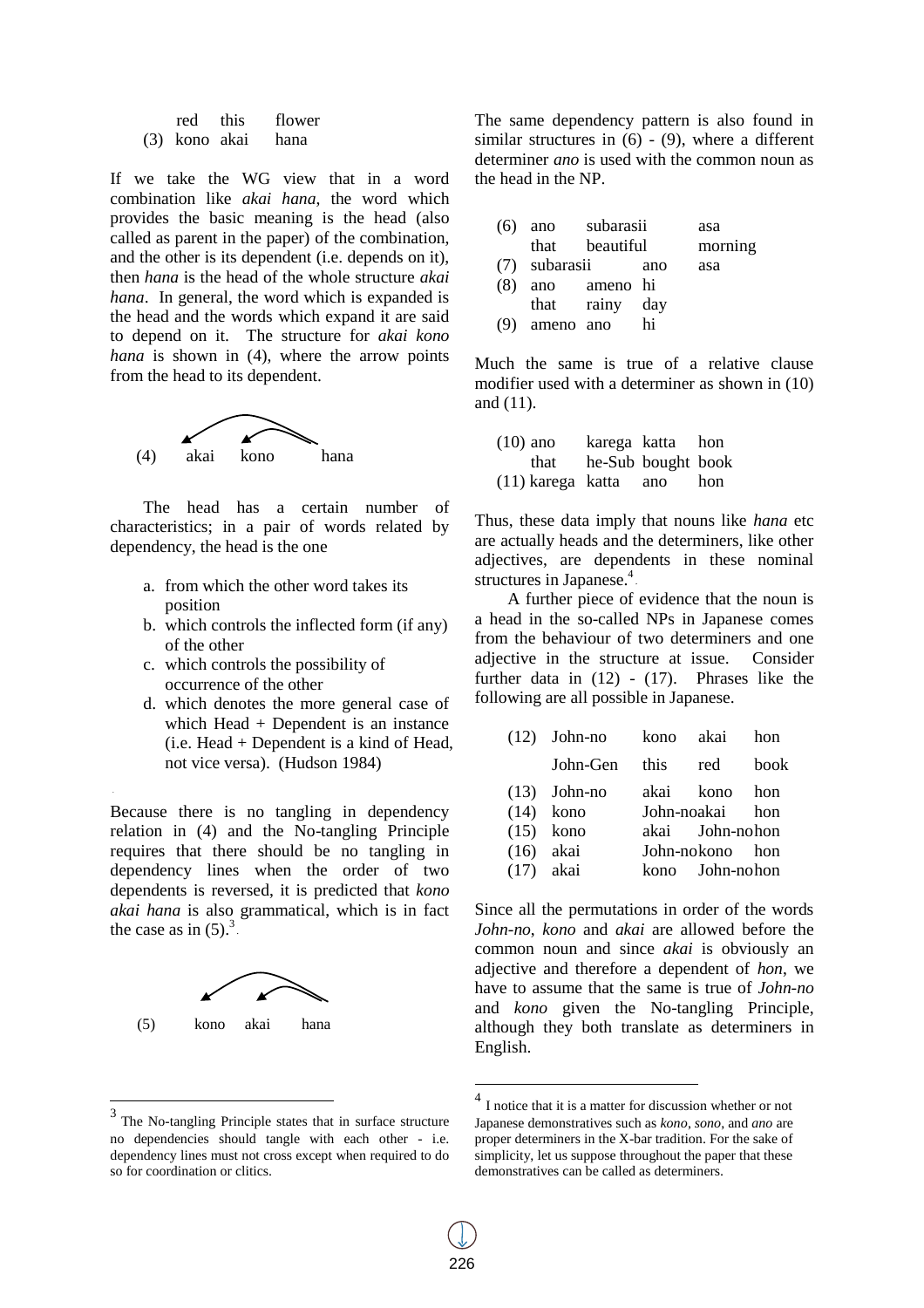| red           | this | flower |
|---------------|------|--------|
| (3) kono akai |      | hana   |

If we take the WG view that in a word combination like *akai hana*, the word which provides the basic meaning is the head (also called as parent in the paper) of the combination, and the other is its dependent (i.e. depends on it), then *hana* is the head of the whole structure *akai hana*. In general, the word which is expanded is the head and the words which expand it are said to depend on it. The structure for *akai kono hana* is shown in (4), where the arrow points from the head to its dependent.



The head has a certain number of characteristics; in a pair of words related by dependency, the head is the one

- a. from which the other word takes its position
- b. which controls the inflected form (if any) of the other
- c. which controls the possibility of occurrence of the other
- d. which denotes the more general case of which Head + Dependent is an instance (i.e. Head + Dependent is a kind of Head, not vice versa). (Hudson 1984)

Because there is no tangling in dependency relation in (4) and the No-tangling Principle requires that there should be no tangling in dependency lines when the order of two dependents is reversed, it is predicted that *kono akai hana* is also grammatical, which is in fact the case as in  $(5)$ .<sup>3</sup>.



<sup>&</sup>lt;sup>3</sup> The No-tangling Principle states that in surface structure no dependencies should tangle with each other - i.e. dependency lines must not cross except when required to do so for coordination or clitics.

The same dependency pattern is also found in similar structures in  $(6) - (9)$ , where a different determiner *ano* is used with the common noun as the head in the NP.

| $(6)$ ano | subarasii | asa     |
|-----------|-----------|---------|
| that      | beautiful | morning |

| eauurur | пютния |
|---------|--------|
|         |        |

- (7) subarasii ano asa
- (8) ano ameno hi
- that rainy day
- (9) ameno ano hi

Much the same is true of a relative clause modifier used with a determiner as shown in (10) and (11).

| $(10)$ ano            |                    | karega katta hon |     |
|-----------------------|--------------------|------------------|-----|
| that                  | he-Sub bought book |                  |     |
| (11) karega katta ano |                    |                  | hon |

Thus, these data imply that nouns like *hana* etc are actually heads and the determiners, like other adjectives, are dependents in these nominal structures in Japanese.<sup>4</sup>

A further piece of evidence that the noun is a head in the so-called NPs in Japanese comes from the behaviour of two determiners and one adjective in the structure at issue. Consider further data in (12) - (17). Phrases like the following are all possible in Japanese.

|             | $(12)$ John-no | kono akai       | hon  |
|-------------|----------------|-----------------|------|
|             | John-Gen this  | red             | book |
|             | $(13)$ John-no | akai kono hon   |      |
|             | $(14)$ kono    | John-noakai hon |      |
|             | $(15)$ kono    | akai John-nohon |      |
| $(16)$ akai |                | John-nokono hon |      |
| $(17)$ akai |                | kono John-nohon |      |

Since all the permutations in order of the words *John-no*, *kono* and *akai* are allowed before the common noun and since *akai* is obviously an adjective and therefore a dependent of *hon*, we have to assume that the same is true of *John-no*  and *kono* given the No-tangling Principle, although they both translate as determiners in English.

 $\overline{a}$ 

<sup>4</sup> I notice that it is a matter for discussion whether or not Japanese demonstratives such as *kono*, *sono*, and *ano* are proper determiners in the X-bar tradition. For the sake of simplicity, let us suppose throughout the paper that these demonstratives can be called as determiners.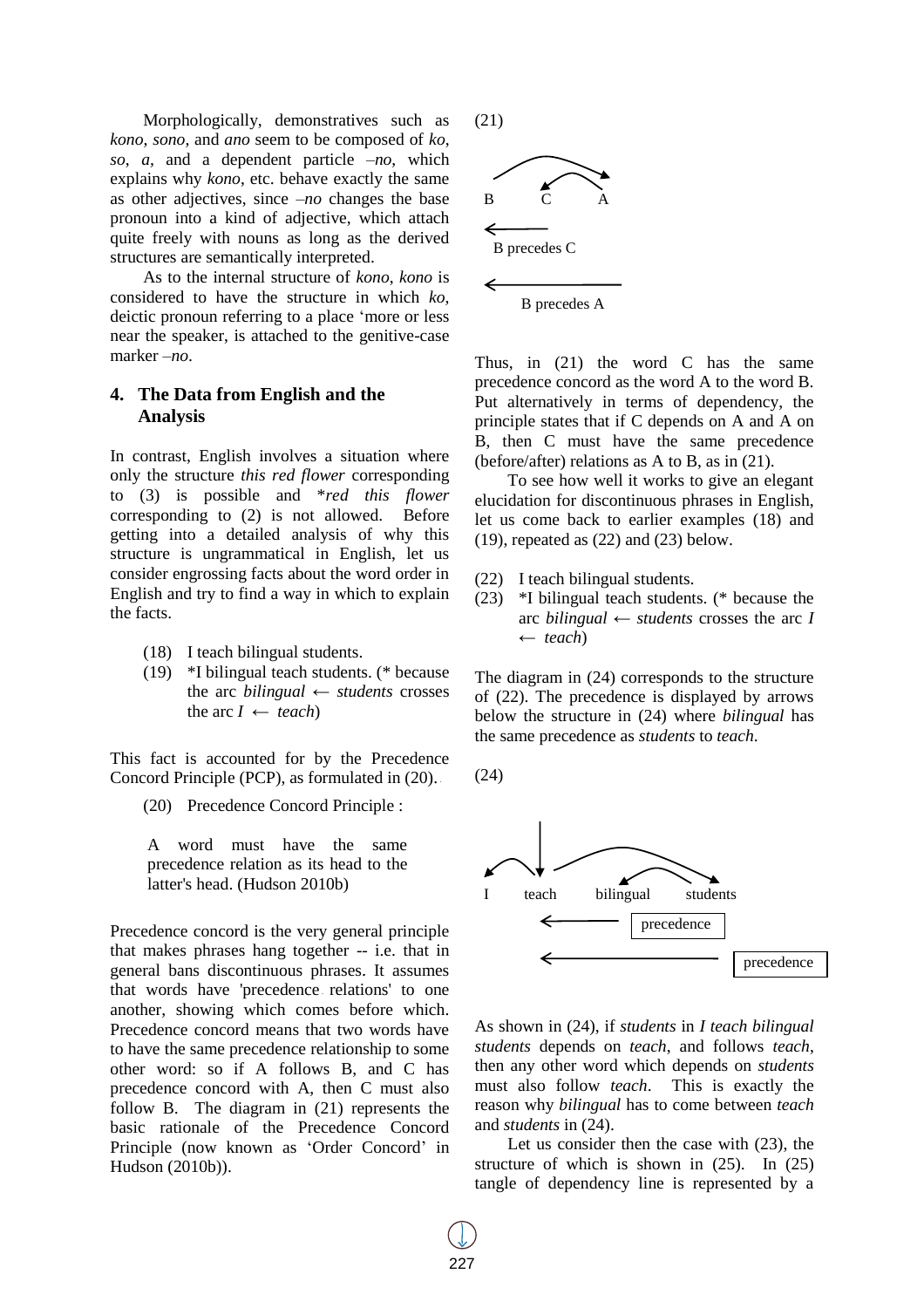Morphologically, demonstratives such as *kono*, *sono*, and *ano* seem to be composed of *ko*, *so*, *a,* and a dependent particle *–no*, which explains why *kono*, etc. behave exactly the same as other adjectives, since *–no* changes the base pronoun into a kind of adjective, which attach quite freely with nouns as long as the derived structures are semantically interpreted.

As to the internal structure of *kono*, *kono* is considered to have the structure in which *ko*, deictic pronoun referring to a place 'more or less near the speaker, is attached to the genitive-case marker *–no*.

# **4. The Data from English and the Analysis**

In contrast, English involves a situation where only the structure *this red flower* corresponding to (3) is possible and \**red this flower* corresponding to (2) is not allowed. Before getting into a detailed analysis of why this structure is ungrammatical in English, let us consider engrossing facts about the word order in English and try to find a way in which to explain the facts.

- (18) I teach bilingual students.
- (19) \*I bilingual teach students. (\* because the arc *bilingual* ← *students* crosses the arc  $I \leftarrow \text{teach}$

This fact is accounted for by the Precedence Concord Principle (PCP), as formulated in  $(20)$ .

(20) Precedence Concord Principle :

A word must have the same precedence relation as its head to the latter's head. (Hudson 2010b)

Precedence concord is the very general principle that makes phrases hang together -- i.e. that in general bans discontinuous phrases. It assumes that words have 'precedence relations' to one another, showing which comes before which. Precedence concord means that two words have to have the same precedence relationship to some other word: so if A follows B, and C has precedence concord with A, then C must also follow B. The diagram in (21) represents the basic rationale of the Precedence Concord Principle (now known as 'Order Concord' in Hudson (2010b)).

(21)



Thus, in (21) the word C has the same precedence concord as the word A to the word B. Put alternatively in terms of dependency, the principle states that if C depends on A and A on B, then C must have the same precedence (before/after) relations as A to B, as in (21).

To see how well it works to give an elegant elucidation for discontinuous phrases in English, let us come back to earlier examples (18) and  $(19)$ , repeated as  $(22)$  and  $(23)$  below.

- (22) I teach bilingual students.
- (23) \*I bilingual teach students. (\* because the arc *bilingual*  $\leftarrow$  *students* crosses the arc *I* ← *teach*)

The diagram in (24) corresponds to the structure of (22). The precedence is displayed by arrows below the structure in (24) where *bilingual* has the same precedence as *students* to *teach*.

(24)



As shown in (24), if *students* in *I teach bilingual students* depends on *teach*, and follows *teach*, then any other word which depends on *students* must also follow *teach*. This is exactly the reason why *bilingual* has to come between *teach* and *students* in (24).

Let us consider then the case with (23), the structure of which is shown in (25). In (25) tangle of dependency line is represented by a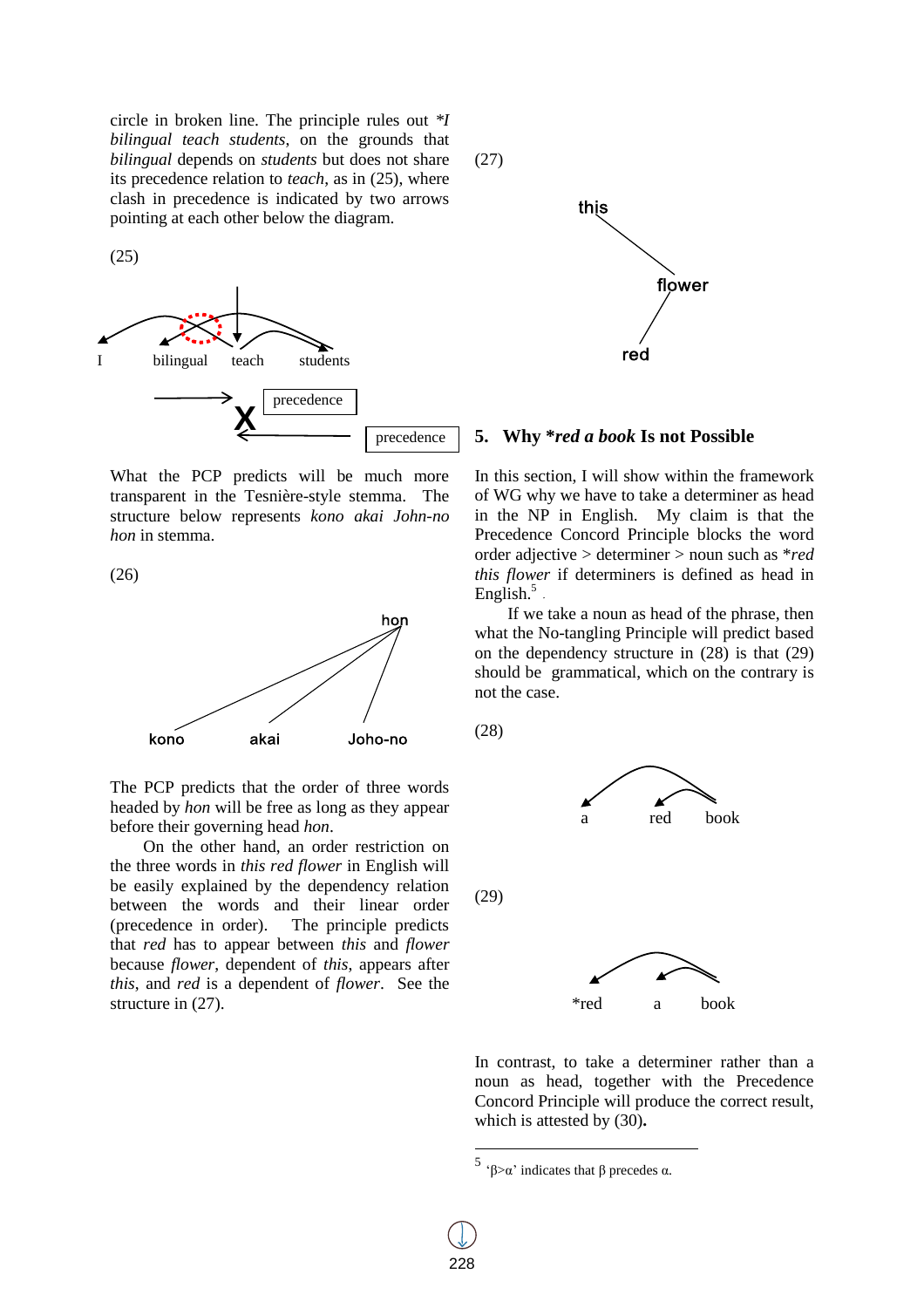circle in broken line. The principle rules out *\*I bilingual teach students*, on the grounds that *bilingual* depends on *students* but does not share its precedence relation to *teach*, as in (25), where clash in precedence is indicated by two arrows pointing at each other below the diagram.

(25)



What the PCP predicts will be much more transparent in the Tesnière-style stemma. The structure below represents *kono akai John-no hon* in stemma.

(26)



The PCP predicts that the order of three words headed by *hon* will be free as long as they appear before their governing head *hon*.

On the other hand, an order restriction on the three words in *this red flower* in English will be easily explained by the dependency relation between the words and their linear order (precedence in order). The principle predicts that *red* has to appear between *this* and *flower* because *flower*, dependent of *this*, appears after *this*, and *red* is a dependent of *flower*. See the structure in (27).

(27)



#### **5. Why \****red a book* **Is not Possible**

In this section, I will show within the framework of WG why we have to take a determiner as head in the NP in English. My claim is that the Precedence Concord Principle blocks the word order adjective > determiner > noun such as \**red this flower* if determiners is defined as head in English.<sup>5</sup>

If we take a noun as head of the phrase, then what the No-tangling Principle will predict based on the dependency structure in (28) is that (29) should be grammatical, which on the contrary is not the case.

(28)



In contrast, to take a determiner rather than a noun as head, together with the Precedence Concord Principle will produce the correct result, which is attested by (30)**.**

 $\overline{a}$ 

<sup>5 &#</sup>x27;β $>\alpha$ ' indicates that β precedes α.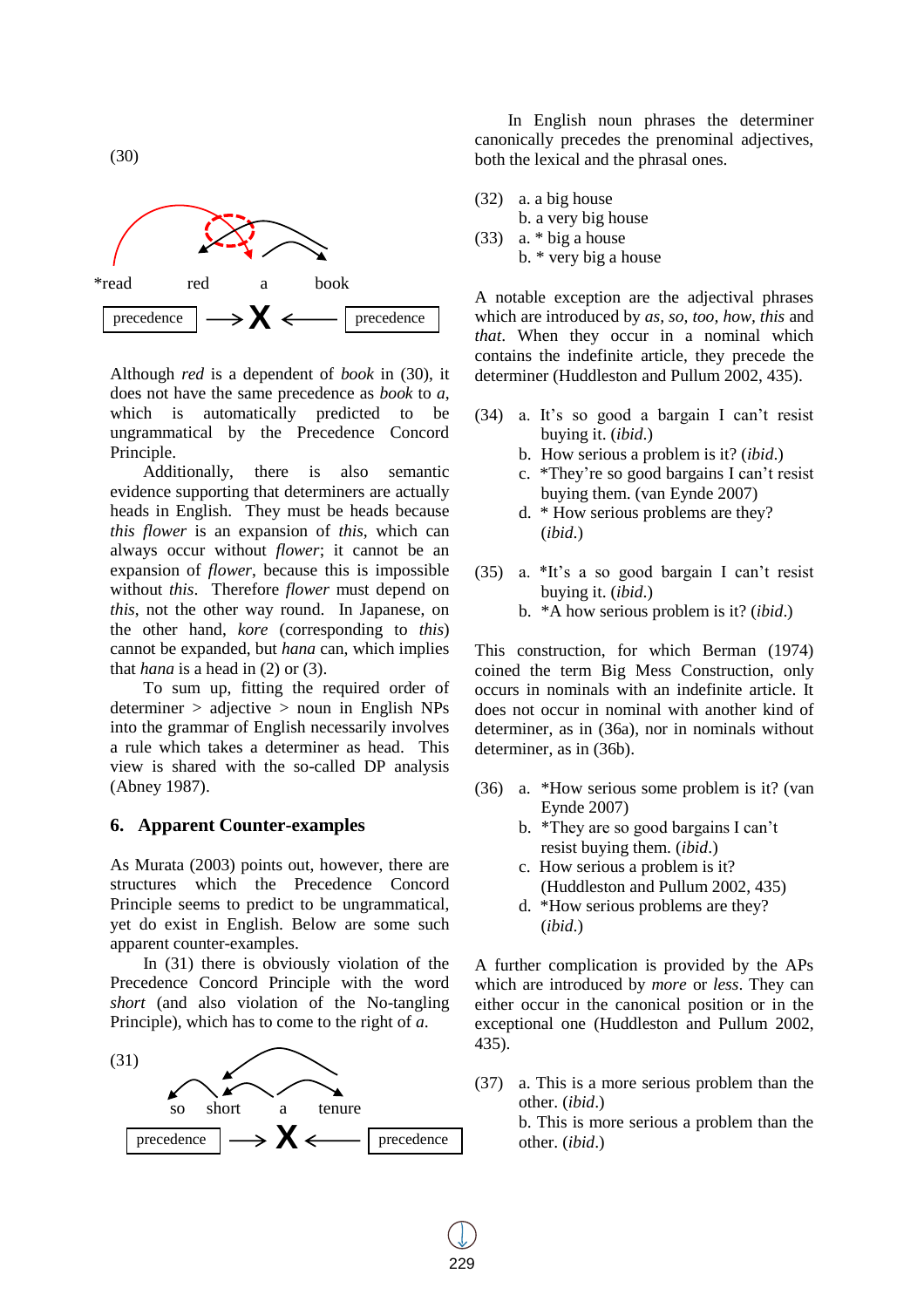

(30)

Although *red* is a dependent of *book* in (30), it does not have the same precedence as *book* to *a*, which is automatically predicted to be ungrammatical by the Precedence Concord Principle.

Additionally, there is also semantic evidence supporting that determiners are actually heads in English. They must be heads because *this flower* is an expansion of *this*, which can always occur without *flower*; it cannot be an expansion of *flower*, because this is impossible without *this*. Therefore *flower* must depend on *this*, not the other way round. In Japanese, on the other hand, *kore* (corresponding to *this*) cannot be expanded, but *hana* can, which implies that *hana* is a head in (2) or (3).

To sum up, fitting the required order of determiner > adjective > noun in English NPs into the grammar of English necessarily involves a rule which takes a determiner as head. This view is shared with the so-called DP analysis (Abney 1987).

#### **6. Apparent Counter-examples**

As Murata (2003) points out, however, there are structures which the Precedence Concord Principle seems to predict to be ungrammatical, yet do exist in English. Below are some such apparent counter-examples.

In (31) there is obviously violation of the Precedence Concord Principle with the word *short* (and also violation of the No-tangling Principle), which has to come to the right of *a*.



In English noun phrases the determiner canonically precedes the prenominal adjectives, both the lexical and the phrasal ones.

- (32) a. a big house
	- b. a very big house
- (33) a. \* big a house
	- b. \* very big a house

A notable exception are the adjectival phrases which are introduced by *as, so, too, how, this* and *that*. When they occur in a nominal which contains the indefinite article, they precede the determiner (Huddleston and Pullum 2002, 435).

- (34) a. It's so good a bargain I can't resist buying it. (*ibid*.)
	- b. How serious a problem is it? (*ibid*.)
	- c. \*They're so good bargains I can't resist buying them. (van Eynde 2007)
	- d. \* How serious problems are they? (*ibid*.)
- (35) a. \*It's a so good bargain I can't resist buying it. (*ibid*.)
	- b. \*A how serious problem is it? (*ibid*.)

This construction, for which Berman (1974) coined the term Big Mess Construction, only occurs in nominals with an indefinite article. It does not occur in nominal with another kind of determiner, as in (36a), nor in nominals without determiner, as in (36b).

- (36) a. \*How serious some problem is it? (van Eynde 2007)
	- b. \*They are so good bargains I can't resist buying them. (*ibid*.)
	- c. How serious a problem is it? (Huddleston and Pullum 2002, 435)
	- d. \*How serious problems are they? (*ibid*.)

A further complication is provided by the APs which are introduced by *more* or *less*. They can either occur in the canonical position or in the exceptional one (Huddleston and Pullum 2002, 435).

(37) a. This is a more serious problem than the other. (*ibid*.) b. This is more serious a problem than the

other. (*ibid*.)

229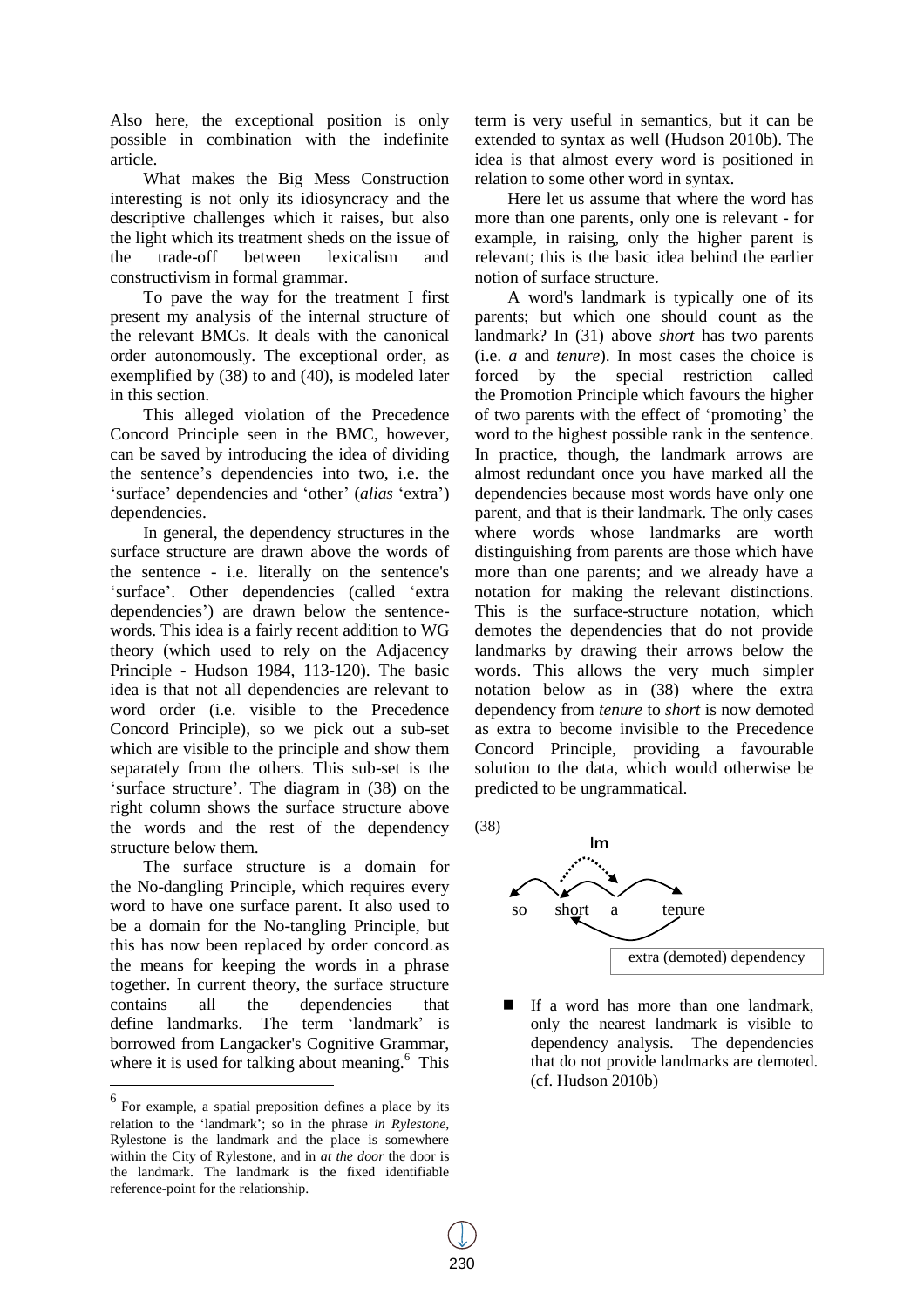Also here, the exceptional position is only possible in combination with the indefinite article.

What makes the Big Mess Construction interesting is not only its idiosyncracy and the descriptive challenges which it raises, but also the light which its treatment sheds on the issue of the trade-off between lexicalism and constructivism in formal grammar.

To pave the way for the treatment I first present my analysis of the internal structure of the relevant BMCs. It deals with the canonical order autonomously. The exceptional order, as exemplified by (38) to and (40), is modeled later in this section.

This alleged violation of the Precedence Concord Principle seen in the BMC, however, can be saved by introducing the idea of dividing the sentence's dependencies into two, i.e. the 'surface' dependencies and 'other' (*alias* 'extra') dependencies.

In general, the dependency structures in the surface structure are drawn above the words of the sentence - i.e. literally on the sentence's 'surface'. Other dependencies (called 'extra dependencies') are drawn below the sentencewords. This idea is a fairly recent addition to WG theory (which used to rely on the Adjacency Principle - Hudson 1984, 113-120). The basic idea is that not all dependencies are relevant to word order (i.e. visible to the Precedence Concord Principle), so we pick out a sub-set which are visible to the principle and show them separately from the others. This sub-set is the 'surface structure'. The diagram in (38) on the right column shows the surface structure above the words and the rest of the dependency structure below them.

The surface structure is a domain for the No-dangling Principle, which requires every word to have one surface parent. It also used to be a domain for the No-tangling Principle, but this has now been replaced by order concord as the means for keeping the words in a phrase together. In current theory, the surface structure contains all the dependencies that define landmarks. The term 'landmark' is borrowed from Langacker's Cognitive Grammar, where it is used for talking about meaning.<sup>6</sup> This

 $\overline{a}$ 

term is very useful in semantics, but it can be extended to syntax as well (Hudson 2010b). The idea is that almost every word is positioned in relation to some other word in syntax.

Here let us assume that where the word has more than one parents, only one is relevant - for example, in raising, only the higher parent is relevant; this is the basic idea behind the earlier notion of surface structure.

A word's landmark is typically one of its parents; but which one should count as the landmark? In (31) above *short* has two parents (i.e. *a* and *tenure*). In most cases the choice is forced by the special restriction called the Promotion Principle which favours the higher of two parents with the effect of 'promoting' the word to the highest possible rank in the sentence. In practice, though, the landmark arrows are almost redundant once you have marked all the dependencies because most words have only one parent, and that is their landmark. The only cases where words whose landmarks are worth distinguishing from parents are those which have more than one parents; and we already have a notation for making the relevant distinctions. This is the surface-structure notation, which demotes the dependencies that do not provide landmarks by drawing their arrows below the words. This allows the very much simpler notation below as in (38) where the extra dependency from *tenure* to *short* is now demoted as extra to become invisible to the Precedence Concord Principle, providing a favourable solution to the data, which would otherwise be predicted to be ungrammatical.

(38)



If a word has more than one landmark, only the nearest landmark is visible to dependency analysis. The dependencies that do not provide landmarks are demoted. (cf. Hudson 2010b)

 $<sup>6</sup>$  For example, a spatial preposition defines a place by its</sup> relation to the 'landmark'; so in the phrase *in Rylestone*, Rylestone is the landmark and the place is somewhere within the City of Rylestone, and in *at the door* the door is the landmark. The landmark is the fixed identifiable reference-point for the relationship.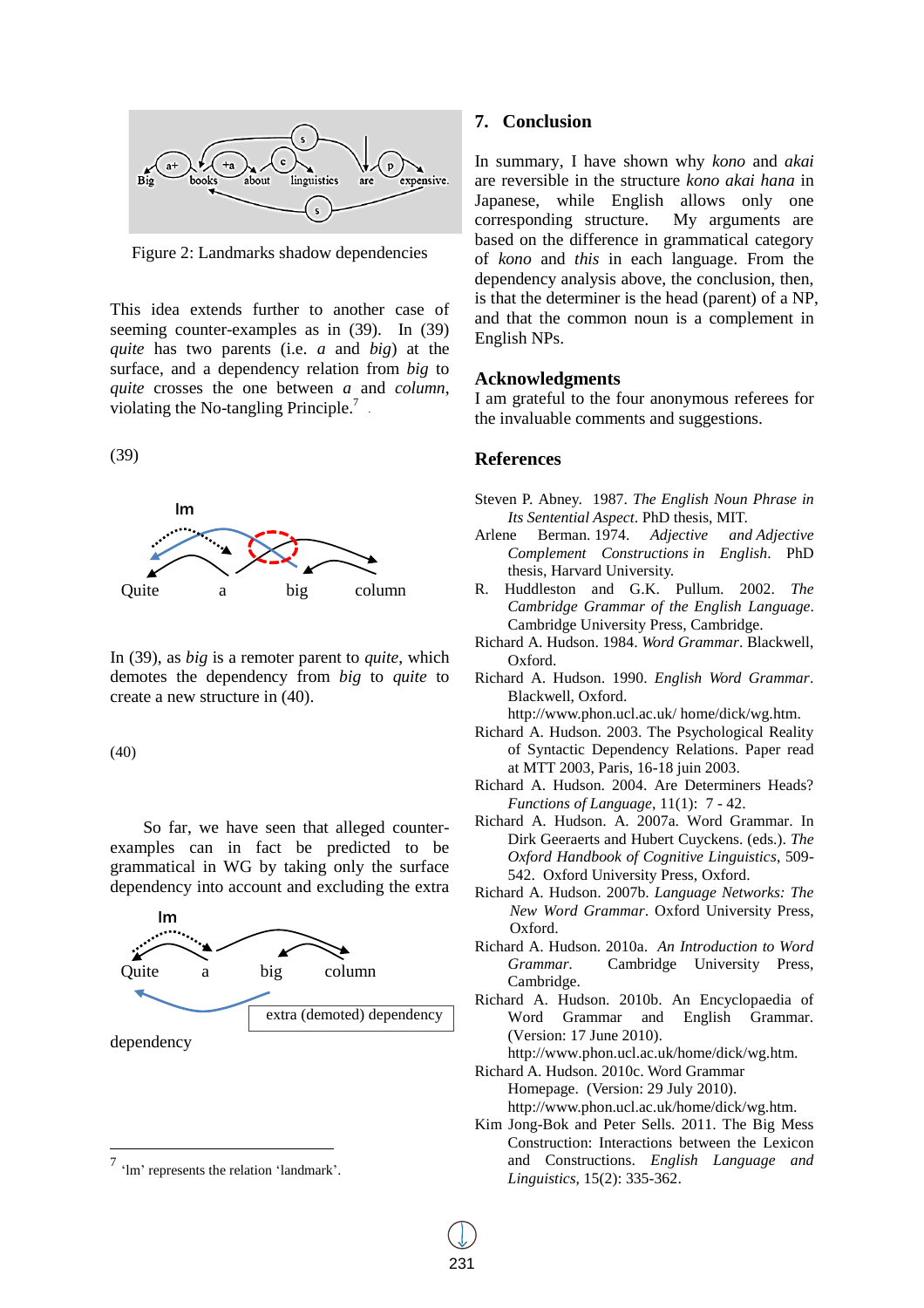

Figure 2: Landmarks shadow dependencies

This idea extends further to another case of seeming counter-examples as in (39). In (39) *quite* has two parents (i.e. *a* and *big*) at the surface, and a dependency relation from *big* to *quite* crosses the one between *a* and *column*, violating the No-tangling Principle.<sup>7</sup>.

(39)



In (39), as *big* is a remoter parent to *quite*, which demotes the dependency from *big* to *quite* to create a new structure in (40).

(40)

So far, we have seen that alleged counterexamples can in fact be predicted to be grammatical in WG by taking only the surface dependency into account and excluding the extra



dependency

 $\overline{a}$ 

#### **7. Conclusion**

In summary, I have shown why *kono* and *akai*  are reversible in the structure *kono akai hana* in Japanese, while English allows only one corresponding structure. My arguments are based on the difference in grammatical category of *kono* and *this* in each language. From the dependency analysis above, the conclusion, then, is that the determiner is the head (parent) of a NP, and that the common noun is a complement in English NPs.

#### **Acknowledgments**

I am grateful to the four anonymous referees for the invaluable comments and suggestions.

### **References**

- Steven P. Abney. 1987. *The English Noun Phrase in Its Sentential Aspect*. PhD thesis, MIT.
- Arlene Berman. 1974. *Adjective and Adjective Complement Constructions in English*. PhD thesis, Harvard University.
- R. Huddleston and G.K. Pullum. 2002. *The Cambridge Grammar of the English Language*. Cambridge University Press, Cambridge.
- Richard A. Hudson. 1984. *Word Grammar*. Blackwell, Oxford.
- Richard A. Hudson. 1990. *English Word Grammar*. Blackwell, Oxford.

http://www.phon.ucl.ac.uk/ home/dick/wg.htm.

- Richard A. Hudson. 2003. The Psychological Reality of Syntactic Dependency Relations. Paper read at MTT 2003, Paris, 16-18 juin 2003.
- Richard A. Hudson. 2004. Are Determiners Heads? *Functions of Language*, 11(1): 7 - 42.
- Richard A. Hudson. A. 2007a. Word Grammar. In Dirk Geeraerts and Hubert Cuyckens. (eds.). *The Oxford Handbook of Cognitive Linguistics*, 509- 542. Oxford University Press, Oxford.
- Richard A. Hudson. 2007b. *Language Networks: The New Word Grammar*. Oxford University Press, Oxford.
- Richard A. Hudson. 2010a. *An Introduction to Word Grammar.* Cambridge University Press, Cambridge.
- Richard A. Hudson. 2010b. An Encyclopaedia of Word Grammar and English Grammar. (Version: 17 June 2010).

http://www.phon.ucl.ac.uk/home/dick/wg.htm.

- Richard A. Hudson. 2010c. Word Grammar Homepage. (Version: 29 July 2010). http://www.phon.ucl.ac.uk/home/dick/wg.htm.
- Kim Jong-Bok and Peter Sells. 2011. The Big Mess Construction: Interactions between the Lexicon and Constructions. *English Language and Linguistics*, 15(2): 335-362.

<sup>&</sup>lt;sup>7</sup> 'lm' represents the relation 'landmark'.